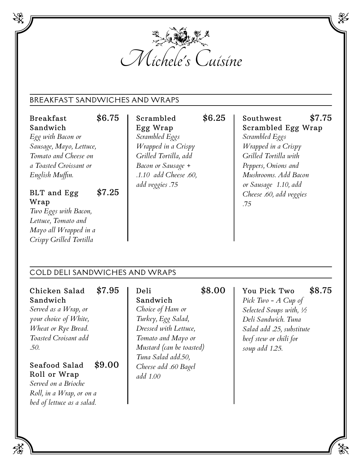

#### BREAKFAST SANDWICHES AND WRAPS

Breakfast \$6.75 Sandwich *Egg with Bacon or Sausage, Mayo, Lettuce, Tomato and Cheese on a Toasted Croissant or English Muffin.*

BLT and Egg \$7.25 Wrap *Two Eggs with Bacon,*

*Lettuce, Tomato and Mayo all Wrapped in a Crispy Grilled Tortilla*

Scrambled \$6.25 Egg Wrap *Scrambled Eggs Wrapped in a Crispy Grilled Tortilla, add Bacon or Sausage + .1.10 add Cheese .60, add veggies .75*

Southwest \$7.75 Scrambled Egg Wrap *Scrambled Eggs Wrapped in a Crispy Grilled Tortilla with Peppers, Onions and Mushrooms. Add Bacon or Sausage 1.10, add Cheese .60, add veggies .75*

## COLD DELI SANDWICHES AND WRAPS

Chicken Salad \$7.95 Sandwich *Served as a Wrap, or*

*your choice of White, Wheat or Rye Bread. Toasted Croisant add .50.*

### Seafood Salad \$9.00 Roll or Wrap

*Served on a Brioche Roll, in a Wrap, or on a bed of lettuce as a salad.*

## Sandwich *Choice of Ham or Turkey, Egg Salad, Dressed with Lettuce, Tomato and Mayo or Mustard (can be toasted) Tuna Salad add.50, Cheese add .60 Bagel add 1.00*

# Deli \$8.00

You Pick Two \$8.75 *Pick Two - A Cup of Selected Soups with, ½ Deli Sandwich. Tuna Salad add .25, substitute beef stew or chili for soup add 1.25.*